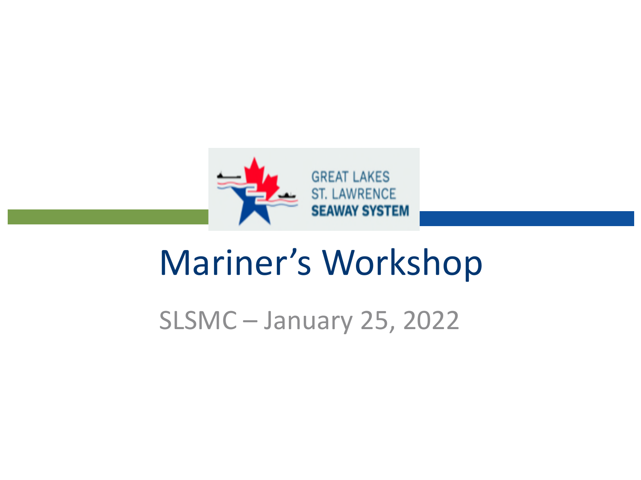

## Mariner's Workshop

SLSMC – January 25, 2022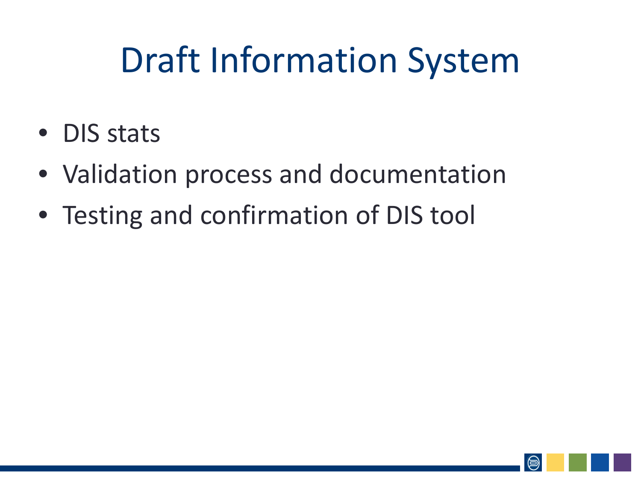# Draft Information System

- DIS stats
- Validation process and documentation
- Testing and confirmation of DIS tool

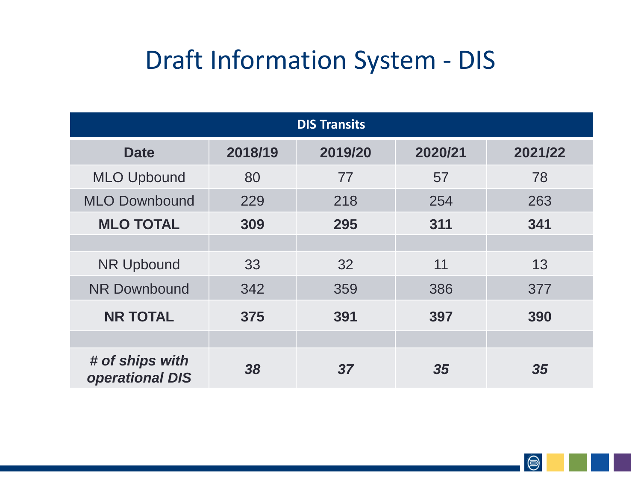## Draft Information System - DIS

| <b>DIS Transits</b>                       |         |         |         |         |  |  |
|-------------------------------------------|---------|---------|---------|---------|--|--|
| <b>Date</b>                               | 2018/19 | 2019/20 | 2020/21 | 2021/22 |  |  |
| <b>MLO Upbound</b>                        | 80      | 77      | 57      | 78      |  |  |
| <b>MLO Downbound</b>                      | 229     | 218     | 254     | 263     |  |  |
| <b>MLO TOTAL</b>                          | 309     | 295     | 311     | 341     |  |  |
|                                           |         |         |         |         |  |  |
| <b>NR Upbound</b>                         | 33      | 32      | 11      | 13      |  |  |
| <b>NR Downbound</b>                       | 342     | 359     | 386     | 377     |  |  |
| <b>NR TOTAL</b>                           | 375     | 391     | 397     | 390     |  |  |
|                                           |         |         |         |         |  |  |
| # of ships with<br><b>operational DIS</b> | 38      | 37      | 35      | 35      |  |  |

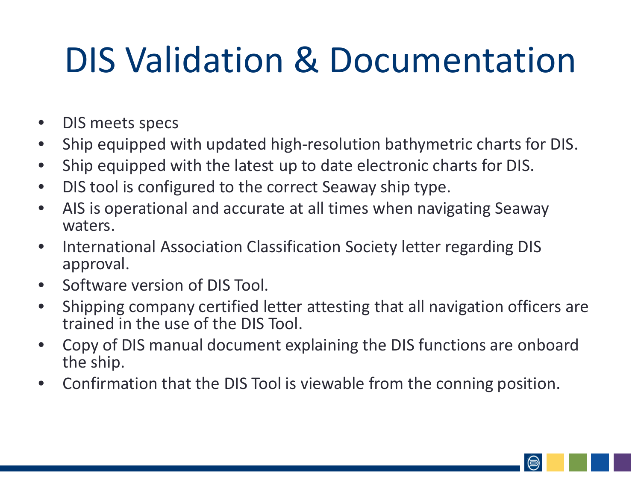# DIS Validation & Documentation

- DIS meets specs
- Ship equipped with updated high-resolution bathymetric charts for DIS.
- Ship equipped with the latest up to date electronic charts for DIS.
- DIS tool is configured to the correct Seaway ship type.
- AIS is operational and accurate at all times when navigating Seaway waters.
- International Association Classification Society letter regarding DIS approval.
- Software version of DIS Tool.
- Shipping company certified letter attesting that all navigation officers are trained in the use of the DIS Tool.
- Copy of DIS manual document explaining the DIS functions are onboard the ship.
- Confirmation that the DIS Tool is viewable from the conning position.

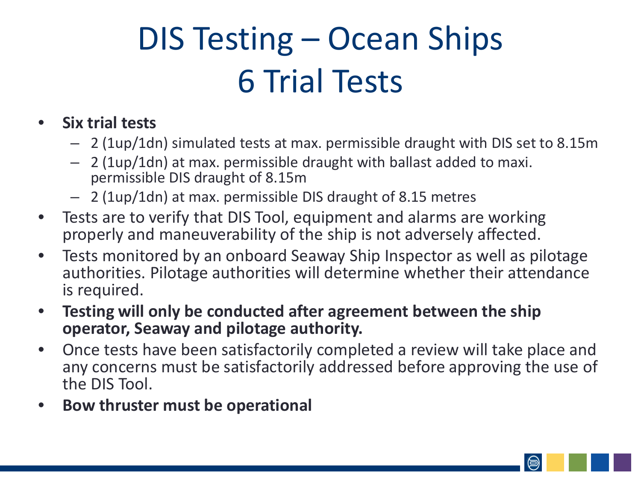## DIS Testing – Ocean Ships 6 Trial Tests

#### • **Six trial tests**

- 2 (1up/1dn) simulated tests at max. permissible draught with DIS set to 8.15m
- 2 (1up/1dn) at max. permissible draught with ballast added to maxi. permissible DIS draught of 8.15m
- 2 (1up/1dn) at max. permissible DIS draught of 8.15 metres
- Tests are to verify that DIS Tool, equipment and alarms are working properly and maneuverability of the ship is not adversely affected.
- Tests monitored by an onboard Seaway Ship Inspector as well as pilotage authorities. Pilotage authorities will determine whether their attendance is required.
- **Testing will only be conducted after agreement between the ship operator, Seaway and pilotage authority.**
- Once tests have been satisfactorily completed a review will take place and any concerns must be satisfactorily addressed before approving the use of the DIS Tool.
- **Bow thruster must be operational**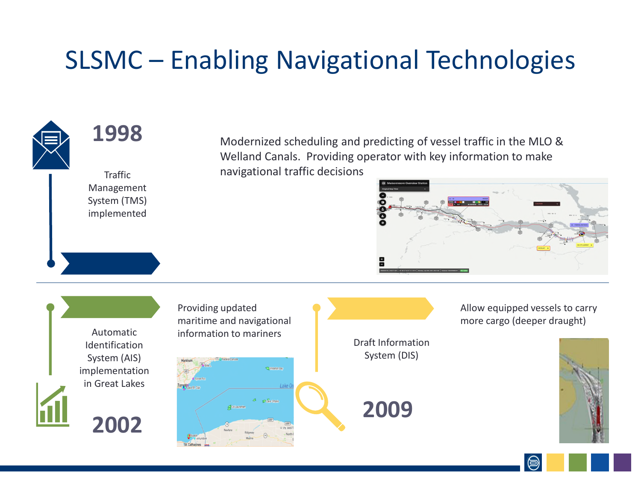## SLSMC – Enabling Navigational Technologies



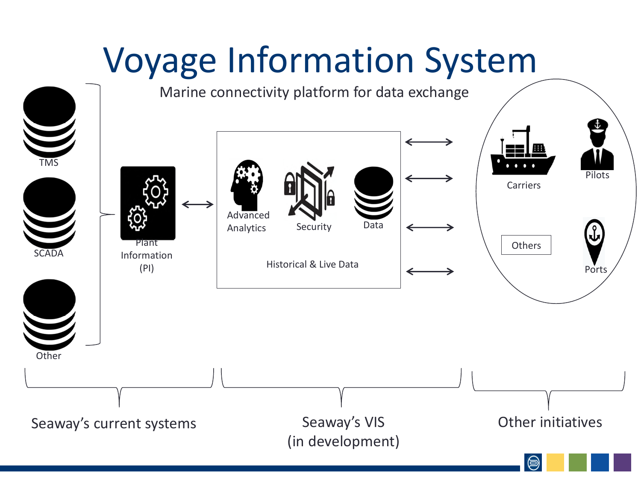### Voyage Information System TMS Other SCADA Plant Information (PI) Security Advanced Analytics Security Data Historical & Live Data Pilots Carriers Ports **Others** Seaway's current systems Seaway's VIS (in development) Other initiatives Marine connectivity platform for data exchange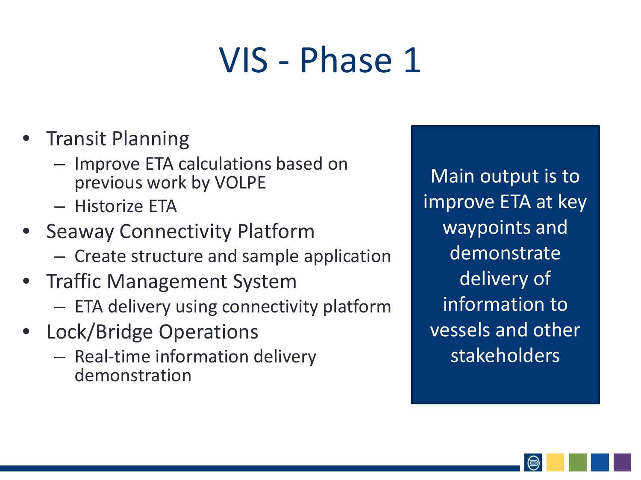## VIS - Phase 1

- Transit Planning
	- Improve ETA calculations based on previous work by VOLPE
	- Historize ETA
- Seaway Connectivity Platform
	- Create structure and sample application
- Traffic Management System
	- ETA delivery using connectivity platform
- Lock/Bridge Operations
	- Real-time information delivery demonstration

Main output is to improve ETA at key waypoints and demonstrate delivery of information to vessels and other stakeholders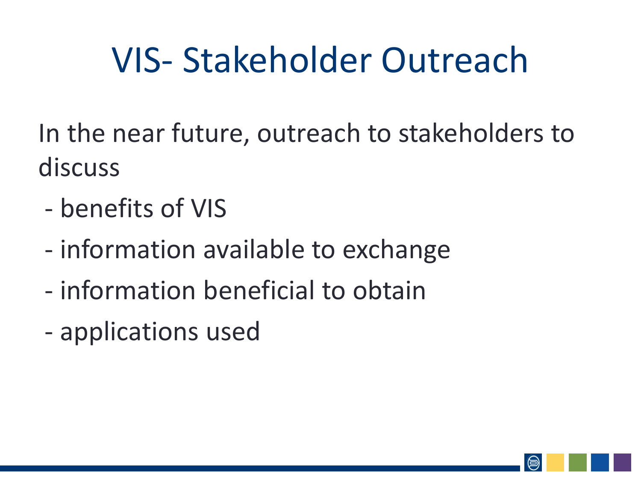# VIS- Stakeholder Outreach

In the near future, outreach to stakeholders to discuss

- benefits of VIS
- information available to exchange
- information beneficial to obtain
- applications used